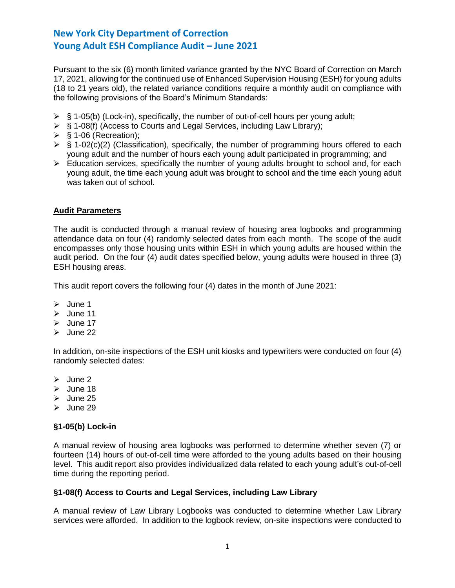Pursuant to the six (6) month limited variance granted by the NYC Board of Correction on March 17, 2021, allowing for the continued use of Enhanced Supervision Housing (ESH) for young adults (18 to 21 years old), the related variance conditions require a monthly audit on compliance with the following provisions of the Board's Minimum Standards:

- $\triangleright$  § 1-05(b) (Lock-in), specifically, the number of out-of-cell hours per young adult;
- ➢ § 1-08(f) (Access to Courts and Legal Services, including Law Library);
- $\triangleright$  § 1-06 (Recreation);
- $\triangleright$  § 1-02(c)(2) (Classification), specifically, the number of programming hours offered to each young adult and the number of hours each young adult participated in programming; and
- ➢ Education services, specifically the number of young adults brought to school and, for each young adult, the time each young adult was brought to school and the time each young adult was taken out of school.

### **Audit Parameters**

The audit is conducted through a manual review of housing area logbooks and programming attendance data on four (4) randomly selected dates from each month. The scope of the audit encompasses only those housing units within ESH in which young adults are housed within the audit period. On the four (4) audit dates specified below, young adults were housed in three (3) ESH housing areas.

This audit report covers the following four (4) dates in the month of June 2021:

- ➢ June 1
- ➢ June 11
- ➢ June 17
- $\geq$  June 22

In addition, on-site inspections of the ESH unit kiosks and typewriters were conducted on four (4) randomly selected dates:

- ➢ June 2
- ➢ June 18
- ➢ June 25
- ➢ June 29

#### **§1-05(b) Lock-in**

A manual review of housing area logbooks was performed to determine whether seven (7) or fourteen (14) hours of out-of-cell time were afforded to the young adults based on their housing level. This audit report also provides individualized data related to each young adult's out-of-cell time during the reporting period.

#### **§1-08(f) Access to Courts and Legal Services, including Law Library**

A manual review of Law Library Logbooks was conducted to determine whether Law Library services were afforded. In addition to the logbook review, on-site inspections were conducted to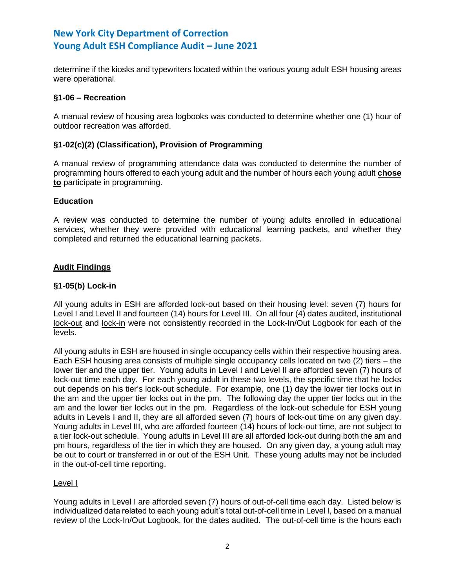determine if the kiosks and typewriters located within the various young adult ESH housing areas were operational.

## **§1-06 – Recreation**

A manual review of housing area logbooks was conducted to determine whether one (1) hour of outdoor recreation was afforded.

### **§1-02(c)(2) (Classification), Provision of Programming**

A manual review of programming attendance data was conducted to determine the number of programming hours offered to each young adult and the number of hours each young adult **chose to** participate in programming.

### **Education**

A review was conducted to determine the number of young adults enrolled in educational services, whether they were provided with educational learning packets, and whether they completed and returned the educational learning packets.

## **Audit Findings**

### **§1-05(b) Lock-in**

All young adults in ESH are afforded lock-out based on their housing level: seven (7) hours for Level I and Level II and fourteen (14) hours for Level III. On all four (4) dates audited, institutional lock-out and lock-in were not consistently recorded in the Lock-In/Out Logbook for each of the levels.

All young adults in ESH are housed in single occupancy cells within their respective housing area. Each ESH housing area consists of multiple single occupancy cells located on two (2) tiers – the lower tier and the upper tier. Young adults in Level I and Level II are afforded seven (7) hours of lock-out time each day. For each young adult in these two levels, the specific time that he locks out depends on his tier's lock-out schedule. For example, one (1) day the lower tier locks out in the am and the upper tier locks out in the pm. The following day the upper tier locks out in the am and the lower tier locks out in the pm. Regardless of the lock-out schedule for ESH young adults in Levels I and II, they are all afforded seven (7) hours of lock-out time on any given day. Young adults in Level III, who are afforded fourteen (14) hours of lock-out time, are not subject to a tier lock-out schedule. Young adults in Level III are all afforded lock-out during both the am and pm hours, regardless of the tier in which they are housed. On any given day, a young adult may be out to court or transferred in or out of the ESH Unit. These young adults may not be included in the out-of-cell time reporting.

#### Level I

Young adults in Level I are afforded seven (7) hours of out-of-cell time each day. Listed below is individualized data related to each young adult's total out-of-cell time in Level I, based on a manual review of the Lock-In/Out Logbook, for the dates audited. The out-of-cell time is the hours each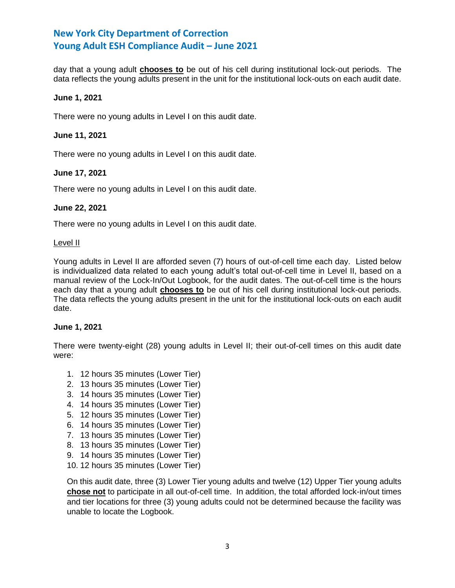day that a young adult **chooses to** be out of his cell during institutional lock-out periods. The data reflects the young adults present in the unit for the institutional lock-outs on each audit date.

### **June 1, 2021**

There were no young adults in Level I on this audit date.

### **June 11, 2021**

There were no young adults in Level I on this audit date.

### **June 17, 2021**

There were no young adults in Level I on this audit date.

### **June 22, 2021**

There were no young adults in Level I on this audit date.

#### Level II

Young adults in Level II are afforded seven (7) hours of out-of-cell time each day. Listed below is individualized data related to each young adult's total out-of-cell time in Level II, based on a manual review of the Lock-In/Out Logbook, for the audit dates. The out-of-cell time is the hours each day that a young adult **chooses to** be out of his cell during institutional lock-out periods. The data reflects the young adults present in the unit for the institutional lock-outs on each audit date.

#### **June 1, 2021**

There were twenty-eight (28) young adults in Level II; their out-of-cell times on this audit date were:

- 1. 12 hours 35 minutes (Lower Tier)
- 2. 13 hours 35 minutes (Lower Tier)
- 3. 14 hours 35 minutes (Lower Tier)
- 4. 14 hours 35 minutes (Lower Tier)
- 5. 12 hours 35 minutes (Lower Tier)
- 6. 14 hours 35 minutes (Lower Tier)
- 7. 13 hours 35 minutes (Lower Tier)
- 8. 13 hours 35 minutes (Lower Tier)
- 9. 14 hours 35 minutes (Lower Tier)
- 10. 12 hours 35 minutes (Lower Tier)

On this audit date, three (3) Lower Tier young adults and twelve (12) Upper Tier young adults **chose not** to participate in all out-of-cell time. In addition, the total afforded lock-in/out times and tier locations for three (3) young adults could not be determined because the facility was unable to locate the Logbook.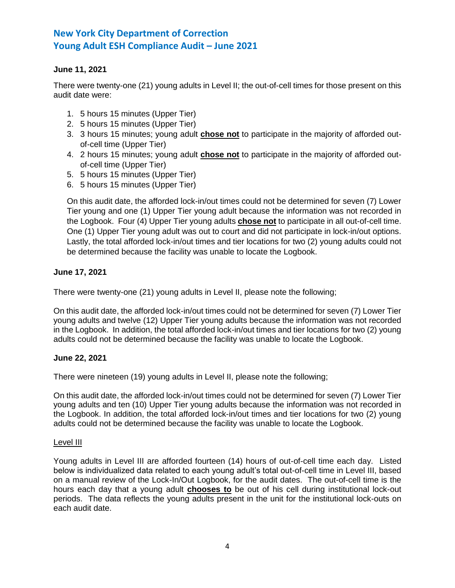## **June 11, 2021**

There were twenty-one (21) young adults in Level II; the out-of-cell times for those present on this audit date were:

- 1. 5 hours 15 minutes (Upper Tier)
- 2. 5 hours 15 minutes (Upper Tier)
- 3. 3 hours 15 minutes; young adult **chose not** to participate in the majority of afforded outof-cell time (Upper Tier)
- 4. 2 hours 15 minutes; young adult **chose not** to participate in the majority of afforded outof-cell time (Upper Tier)
- 5. 5 hours 15 minutes (Upper Tier)
- 6. 5 hours 15 minutes (Upper Tier)

On this audit date, the afforded lock-in/out times could not be determined for seven (7) Lower Tier young and one (1) Upper Tier young adult because the information was not recorded in the Logbook. Four (4) Upper Tier young adults **chose not** to participate in all out-of-cell time. One (1) Upper Tier young adult was out to court and did not participate in lock-in/out options. Lastly, the total afforded lock-in/out times and tier locations for two (2) young adults could not be determined because the facility was unable to locate the Logbook.

## **June 17, 2021**

There were twenty-one (21) young adults in Level II, please note the following;

On this audit date, the afforded lock-in/out times could not be determined for seven (7) Lower Tier young adults and twelve (12) Upper Tier young adults because the information was not recorded in the Logbook. In addition, the total afforded lock-in/out times and tier locations for two (2) young adults could not be determined because the facility was unable to locate the Logbook.

#### **June 22, 2021**

There were nineteen (19) young adults in Level II, please note the following;

On this audit date, the afforded lock-in/out times could not be determined for seven (7) Lower Tier young adults and ten (10) Upper Tier young adults because the information was not recorded in the Logbook. In addition, the total afforded lock-in/out times and tier locations for two (2) young adults could not be determined because the facility was unable to locate the Logbook.

#### Level III

Young adults in Level III are afforded fourteen (14) hours of out-of-cell time each day. Listed below is individualized data related to each young adult's total out-of-cell time in Level III, based on a manual review of the Lock-In/Out Logbook, for the audit dates. The out-of-cell time is the hours each day that a young adult **chooses to** be out of his cell during institutional lock-out periods. The data reflects the young adults present in the unit for the institutional lock-outs on each audit date.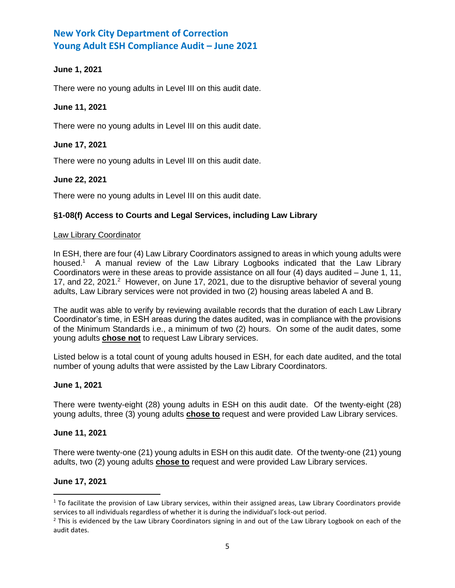## **June 1, 2021**

There were no young adults in Level III on this audit date.

## **June 11, 2021**

There were no young adults in Level III on this audit date.

## **June 17, 2021**

There were no young adults in Level III on this audit date.

## **June 22, 2021**

There were no young adults in Level III on this audit date.

## **§1-08(f) Access to Courts and Legal Services, including Law Library**

### Law Library Coordinator

In ESH, there are four (4) Law Library Coordinators assigned to areas in which young adults were housed.<sup>1</sup> A manual review of the Law Library Logbooks indicated that the Law Library Coordinators were in these areas to provide assistance on all four (4) days audited – June 1, 11, 17, and 22, 2021.<sup>2</sup> However, on June 17, 2021, due to the disruptive behavior of several young adults, Law Library services were not provided in two (2) housing areas labeled A and B.

The audit was able to verify by reviewing available records that the duration of each Law Library Coordinator's time, in ESH areas during the dates audited, was in compliance with the provisions of the Minimum Standards i.e., a minimum of two (2) hours. On some of the audit dates, some young adults **chose not** to request Law Library services.

Listed below is a total count of young adults housed in ESH, for each date audited, and the total number of young adults that were assisted by the Law Library Coordinators.

## **June 1, 2021**

There were twenty-eight (28) young adults in ESH on this audit date. Of the twenty-eight (28) young adults, three (3) young adults **chose to** request and were provided Law Library services.

## **June 11, 2021**

There were twenty-one (21) young adults in ESH on this audit date. Of the twenty-one (21) young adults, two (2) young adults **chose to** request and were provided Law Library services.

## **June 17, 2021**

l

 $1$  To facilitate the provision of Law Library services, within their assigned areas, Law Library Coordinators provide services to all individuals regardless of whether it is during the individual's lock-out period.

 $<sup>2</sup>$  This is evidenced by the Law Library Coordinators signing in and out of the Law Library Logbook on each of the</sup> audit dates.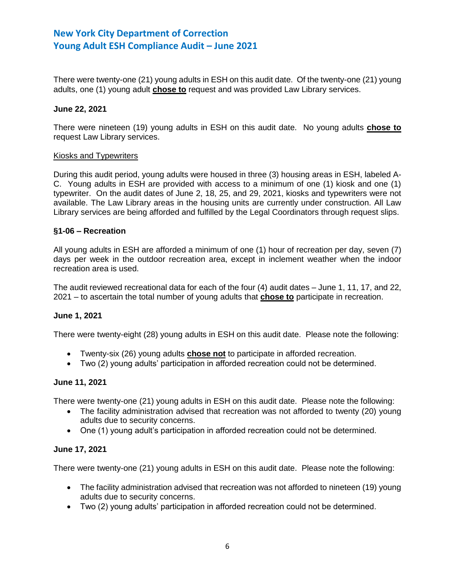There were twenty-one (21) young adults in ESH on this audit date. Of the twenty-one (21) young adults, one (1) young adult **chose to** request and was provided Law Library services.

### **June 22, 2021**

There were nineteen (19) young adults in ESH on this audit date. No young adults **chose to** request Law Library services.

#### Kiosks and Typewriters

During this audit period, young adults were housed in three (3) housing areas in ESH, labeled A-C. Young adults in ESH are provided with access to a minimum of one (1) kiosk and one (1) typewriter. On the audit dates of June 2, 18, 25, and 29, 2021, kiosks and typewriters were not available. The Law Library areas in the housing units are currently under construction. All Law Library services are being afforded and fulfilled by the Legal Coordinators through request slips.

#### **§1-06 – Recreation**

All young adults in ESH are afforded a minimum of one (1) hour of recreation per day, seven (7) days per week in the outdoor recreation area, except in inclement weather when the indoor recreation area is used.

The audit reviewed recreational data for each of the four (4) audit dates – June 1, 11, 17, and 22, 2021 – to ascertain the total number of young adults that **chose to** participate in recreation.

### **June 1, 2021**

There were twenty-eight (28) young adults in ESH on this audit date. Please note the following:

- Twenty-six (26) young adults **chose not** to participate in afforded recreation.
- Two (2) young adults' participation in afforded recreation could not be determined.

#### **June 11, 2021**

There were twenty-one (21) young adults in ESH on this audit date. Please note the following:

- The facility administration advised that recreation was not afforded to twenty (20) young adults due to security concerns.
- One (1) young adult's participation in afforded recreation could not be determined.

#### **June 17, 2021**

There were twenty-one (21) young adults in ESH on this audit date. Please note the following:

- The facility administration advised that recreation was not afforded to nineteen (19) young adults due to security concerns.
- Two (2) young adults' participation in afforded recreation could not be determined.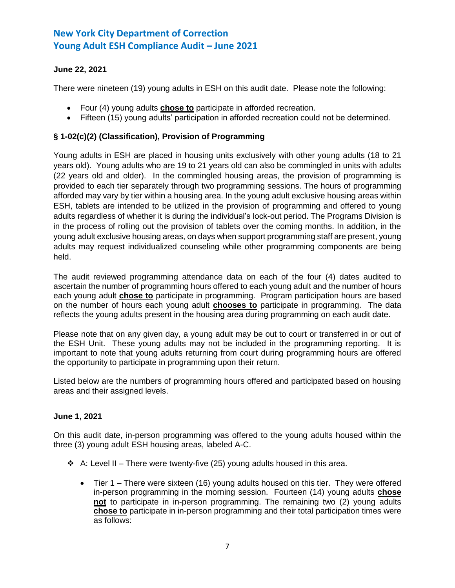# **June 22, 2021**

There were nineteen (19) young adults in ESH on this audit date. Please note the following:

- Four (4) young adults **chose to** participate in afforded recreation.
- Fifteen (15) young adults' participation in afforded recreation could not be determined.

## **§ 1-02(c)(2) (Classification), Provision of Programming**

Young adults in ESH are placed in housing units exclusively with other young adults (18 to 21 years old). Young adults who are 19 to 21 years old can also be commingled in units with adults (22 years old and older). In the commingled housing areas, the provision of programming is provided to each tier separately through two programming sessions. The hours of programming afforded may vary by tier within a housing area. In the young adult exclusive housing areas within ESH, tablets are intended to be utilized in the provision of programming and offered to young adults regardless of whether it is during the individual's lock-out period. The Programs Division is in the process of rolling out the provision of tablets over the coming months. In addition, in the young adult exclusive housing areas, on days when support programming staff are present, young adults may request individualized counseling while other programming components are being held.

The audit reviewed programming attendance data on each of the four (4) dates audited to ascertain the number of programming hours offered to each young adult and the number of hours each young adult **chose to** participate in programming. Program participation hours are based on the number of hours each young adult **chooses to** participate in programming. The data reflects the young adults present in the housing area during programming on each audit date.

Please note that on any given day, a young adult may be out to court or transferred in or out of the ESH Unit. These young adults may not be included in the programming reporting. It is important to note that young adults returning from court during programming hours are offered the opportunity to participate in programming upon their return.

Listed below are the numbers of programming hours offered and participated based on housing areas and their assigned levels.

## **June 1, 2021**

On this audit date, in-person programming was offered to the young adults housed within the three (3) young adult ESH housing areas, labeled A-C.

- $\div$  A: Level II There were twenty-five (25) young adults housed in this area.
	- Tier 1 There were sixteen (16) young adults housed on this tier. They were offered in-person programming in the morning session. Fourteen (14) young adults **chose not** to participate in in-person programming. The remaining two (2) young adults **chose to** participate in in-person programming and their total participation times were as follows: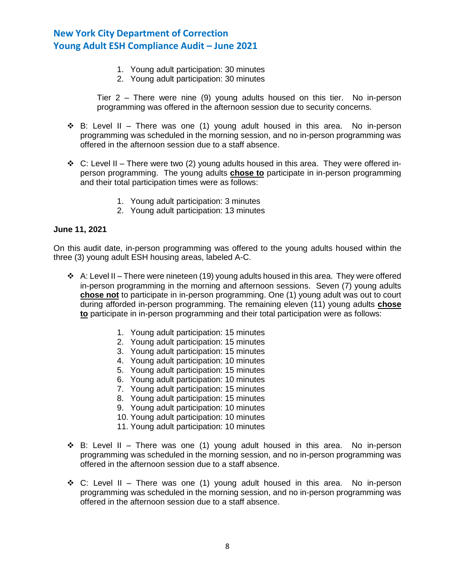- 1. Young adult participation: 30 minutes
- 2. Young adult participation: 30 minutes

Tier 2 – There were nine (9) young adults housed on this tier. No in-person programming was offered in the afternoon session due to security concerns.

- $\dots$  B: Level II There was one (1) young adult housed in this area. No in-person programming was scheduled in the morning session, and no in-person programming was offered in the afternoon session due to a staff absence.
- ❖ C: Level II There were two (2) young adults housed in this area. They were offered inperson programming. The young adults **chose to** participate in in-person programming and their total participation times were as follows:
	- 1. Young adult participation: 3 minutes
	- 2. Young adult participation: 13 minutes

#### **June 11, 2021**

On this audit date, in-person programming was offered to the young adults housed within the three (3) young adult ESH housing areas, labeled A-C.

- $\div$  A: Level II There were nineteen (19) young adults housed in this area. They were offered in-person programming in the morning and afternoon sessions. Seven (7) young adults **chose not** to participate in in-person programming. One (1) young adult was out to court during afforded in-person programming. The remaining eleven (11) young adults **chose to** participate in in-person programming and their total participation were as follows:
	- 1. Young adult participation: 15 minutes
	- 2. Young adult participation: 15 minutes
	- 3. Young adult participation: 15 minutes
	- 4. Young adult participation: 10 minutes
	- 5. Young adult participation: 15 minutes
	- 6. Young adult participation: 10 minutes
	- 7. Young adult participation: 15 minutes
	- 8. Young adult participation: 15 minutes
	- 9. Young adult participation: 10 minutes
	- 10. Young adult participation: 10 minutes
	- 11. Young adult participation: 10 minutes
- $\dots$  B: Level II There was one (1) young adult housed in this area. No in-person programming was scheduled in the morning session, and no in-person programming was offered in the afternoon session due to a staff absence.
- ❖ C: Level II There was one (1) young adult housed in this area. No in-person programming was scheduled in the morning session, and no in-person programming was offered in the afternoon session due to a staff absence.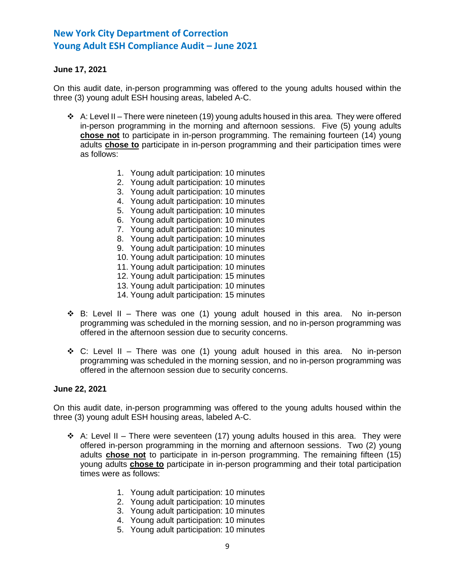## **June 17, 2021**

On this audit date, in-person programming was offered to the young adults housed within the three (3) young adult ESH housing areas, labeled A-C.

- ❖ A: Level II There were nineteen (19) young adults housed in this area. They were offered in-person programming in the morning and afternoon sessions. Five (5) young adults **chose not** to participate in in-person programming. The remaining fourteen (14) young adults **chose to** participate in in-person programming and their participation times were as follows:
	- 1. Young adult participation: 10 minutes
	- 2. Young adult participation: 10 minutes
	- 3. Young adult participation: 10 minutes
	- 4. Young adult participation: 10 minutes
	- 5. Young adult participation: 10 minutes
	- 6. Young adult participation: 10 minutes
	- 7. Young adult participation: 10 minutes
	- 8. Young adult participation: 10 minutes
	- 9. Young adult participation: 10 minutes
	- 10. Young adult participation: 10 minutes
	- 11. Young adult participation: 10 minutes
	- 12. Young adult participation: 15 minutes
	- 13. Young adult participation: 10 minutes
	- 14. Young adult participation: 15 minutes
- ❖ B: Level II There was one (1) young adult housed in this area. No in-person programming was scheduled in the morning session, and no in-person programming was offered in the afternoon session due to security concerns.
- ❖ C: Level II There was one (1) young adult housed in this area. No in-person programming was scheduled in the morning session, and no in-person programming was offered in the afternoon session due to security concerns.

#### **June 22, 2021**

On this audit date, in-person programming was offered to the young adults housed within the three (3) young adult ESH housing areas, labeled A-C.

- $\div$  A: Level II There were seventeen (17) young adults housed in this area. They were offered in-person programming in the morning and afternoon sessions. Two (2) young adults **chose not** to participate in in-person programming. The remaining fifteen (15) young adults **chose to** participate in in-person programming and their total participation times were as follows:
	- 1. Young adult participation: 10 minutes
	- 2. Young adult participation: 10 minutes
	- 3. Young adult participation: 10 minutes
	- 4. Young adult participation: 10 minutes
	- 5. Young adult participation: 10 minutes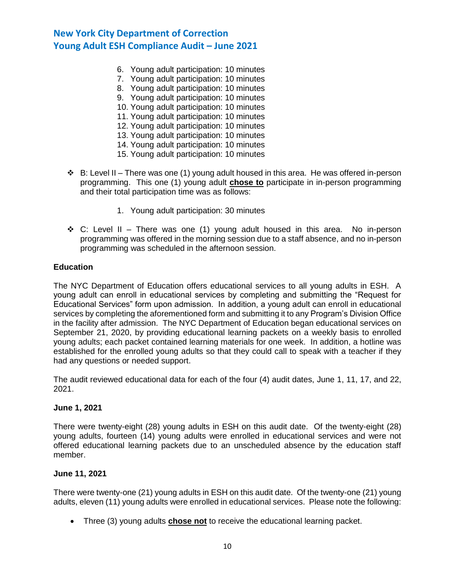- 6. Young adult participation: 10 minutes
- 7. Young adult participation: 10 minutes
- 8. Young adult participation: 10 minutes
- 9. Young adult participation: 10 minutes
- 10. Young adult participation: 10 minutes
- 11. Young adult participation: 10 minutes
- 12. Young adult participation: 10 minutes
- 13. Young adult participation: 10 minutes
- 14. Young adult participation: 10 minutes
- 15. Young adult participation: 10 minutes
- $\div$  B: Level II There was one (1) young adult housed in this area. He was offered in-person programming. This one (1) young adult **chose to** participate in in-person programming and their total participation time was as follows:
	- 1. Young adult participation: 30 minutes
- $\dots$  C: Level II There was one (1) young adult housed in this area. No in-person programming was offered in the morning session due to a staff absence, and no in-person programming was scheduled in the afternoon session.

### **Education**

The NYC Department of Education offers educational services to all young adults in ESH. A young adult can enroll in educational services by completing and submitting the "Request for Educational Services" form upon admission. In addition, a young adult can enroll in educational services by completing the aforementioned form and submitting it to any Program's Division Office in the facility after admission. The NYC Department of Education began educational services on September 21, 2020, by providing educational learning packets on a weekly basis to enrolled young adults; each packet contained learning materials for one week. In addition, a hotline was established for the enrolled young adults so that they could call to speak with a teacher if they had any questions or needed support.

The audit reviewed educational data for each of the four (4) audit dates, June 1, 11, 17, and 22, 2021.

#### **June 1, 2021**

There were twenty-eight (28) young adults in ESH on this audit date. Of the twenty-eight (28) young adults, fourteen (14) young adults were enrolled in educational services and were not offered educational learning packets due to an unscheduled absence by the education staff member.

## **June 11, 2021**

There were twenty-one (21) young adults in ESH on this audit date. Of the twenty-one (21) young adults, eleven (11) young adults were enrolled in educational services. Please note the following:

• Three (3) young adults **chose not** to receive the educational learning packet.